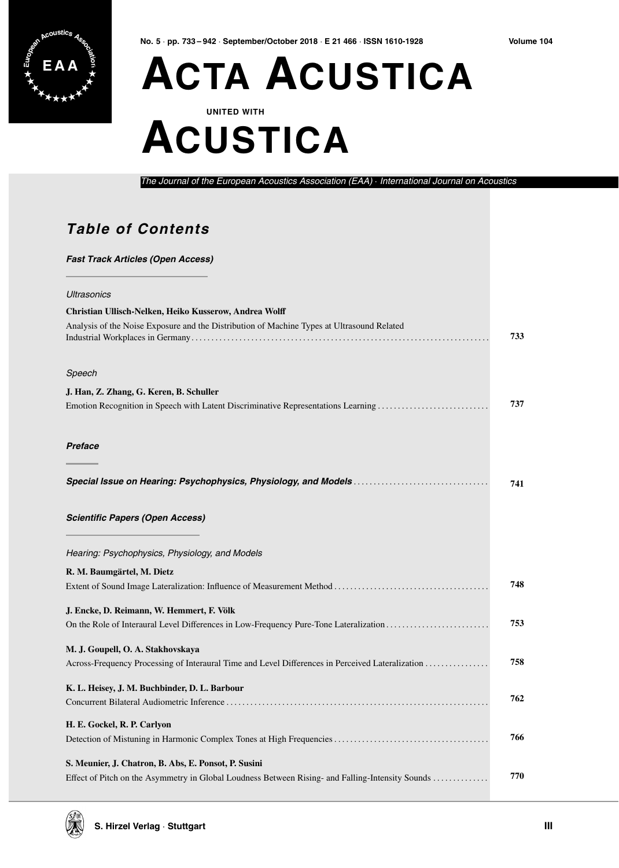

Volume 104

### **ACTA ACUSTICA UNITED WITH**

## **ACUSTICA**

The Journal of the European Acoustics Association (EAA) · International Journal on Acoustics

#### **Table of Contents**

#### **Fast Track Articles (Open Access)** Ultrasonics Christian Ullisch-Nelken, Heiko Kusserow, Andrea Wolff Analysis of the Noise Exposure and the Distribution of Machine Types at Ultrasound Related 733 Speech J. Han, Z. Zhang, G. Keren, B. Schuller 737 Emotion Recognition in Speech with Latent Discriminative Representations Learning ........................... Preface 741 **Scientific Papers (Open Access)** Hearing: Psychophysics, Physiology, and Models R. M. Baumgärtel, M. Dietz 748 J. Encke, D. Reimann, W. Hemmert, F. Völk 753 M. J. Goupell, O. A. Stakhovskaya 758 Across-Frequency Processing of Interaural Time and Level Differences in Perceived Lateralization .............. K. L. Heisey, J. M. Buchbinder, D. L. Barbour 762 H. E. Gockel, R. P. Carlyon 766 S. Meunier, J. Chatron, B. Abs, E. Ponsot, P. Susini 770

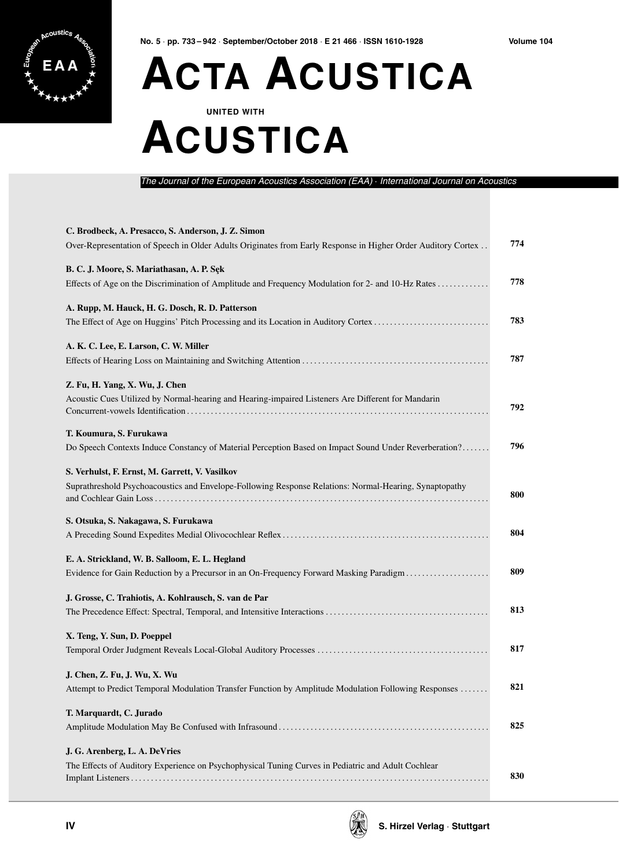

### **EAA ACTA ACUSTICA UNITED WITH**

## **ACUSTICA**

The Journal of the European Acoustics Association (EAA) · International Journal on Acoustic

| C. Brodbeck, A. Presacco, S. Anderson, J. Z. Simon<br>Over-Representation of Speech in Older Adults Originates from Early Response in Higher Order Auditory Cortex | 774 |
|--------------------------------------------------------------------------------------------------------------------------------------------------------------------|-----|
| B. C. J. Moore, S. Mariathasan, A. P. Sęk<br>Effects of Age on the Discrimination of Amplitude and Frequency Modulation for 2- and 10-Hz Rates                     | 778 |
| A. Rupp, M. Hauck, H. G. Dosch, R. D. Patterson<br>The Effect of Age on Huggins' Pitch Processing and its Location in Auditory Cortex                              | 783 |
| A. K. C. Lee, E. Larson, C. W. Miller                                                                                                                              | 787 |
| Z. Fu, H. Yang, X. Wu, J. Chen<br>Acoustic Cues Utilized by Normal-hearing and Hearing-impaired Listeners Are Different for Mandarin                               | 792 |
| T. Koumura, S. Furukawa<br>Do Speech Contexts Induce Constancy of Material Perception Based on Impact Sound Under Reverberation?                                   | 796 |
| S. Verhulst, F. Ernst, M. Garrett, V. Vasilkov<br>Suprathreshold Psychoacoustics and Envelope-Following Response Relations: Normal-Hearing, Synaptopathy           | 800 |
| S. Otsuka, S. Nakagawa, S. Furukawa                                                                                                                                | 804 |
| E. A. Strickland, W. B. Salloom, E. L. Hegland<br>Evidence for Gain Reduction by a Precursor in an On-Frequency Forward Masking Paradigm                           | 809 |
| J. Grosse, C. Trahiotis, A. Kohlrausch, S. van de Par                                                                                                              | 813 |
| X. Teng, Y. Sun, D. Poeppel                                                                                                                                        | 817 |
| J. Chen, Z. Fu, J. Wu, X. Wu<br>Attempt to Predict Temporal Modulation Transfer Function by Amplitude Modulation Following Responses                               | 821 |
| T. Marquardt, C. Jurado                                                                                                                                            | 825 |
| J. G. Arenberg, L. A. DeVries<br>The Effects of Auditory Experience on Psychophysical Tuning Curves in Pediatric and Adult Cochlear                                | 830 |

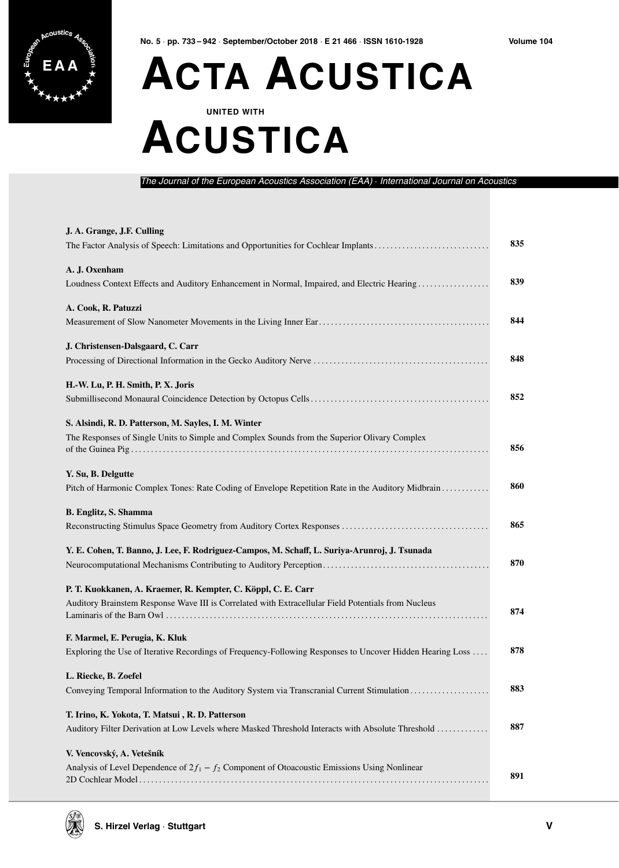

Volume 104

# **ACTA ACUSTICA**

### **UNITED WITH ACUSTICA**

The Journal of the European Acoustics Association (EAA) · International Journal on Acoustic.

| J. A. Grange, J.F. Culling<br>The Factor Analysis of Speech: Limitations and Opportunities for Cochlear Implants                                     | 835 |
|------------------------------------------------------------------------------------------------------------------------------------------------------|-----|
| A. J. Oxenham<br>Loudness Context Effects and Auditory Enhancement in Normal, Impaired, and Electric Hearing                                         | 839 |
| A. Cook, R. Patuzzi                                                                                                                                  | 844 |
| J. Christensen-Dalsgaard, C. Carr                                                                                                                    | 848 |
| H.-W. Lu, P. H. Smith, P. X. Joris                                                                                                                   | 852 |
| S. Alsindi, R. D. Patterson, M. Sayles, I. M. Winter<br>The Responses of Single Units to Simple and Complex Sounds from the Superior Olivary Complex | 856 |
| Y. Su, B. Delgutte                                                                                                                                   | 860 |
| Pitch of Harmonic Complex Tones: Rate Coding of Envelope Repetition Rate in the Auditory Midbrain<br><b>B.</b> Englitz, S. Shamma                    | 865 |
| Y. E. Cohen, T. Banno, J. Lee, F. Rodriguez-Campos, M. Schaff, L. Suriya-Arunroj, J. Tsunada                                                         | 870 |
| P. T. Kuokkanen, A. Kraemer, R. Kempter, C. Köppl, C. E. Carr                                                                                        |     |
| Auditory Brainstem Response Wave III is Correlated with Extracellular Field Potentials from Nucleus                                                  | 874 |
| F. Marmel, E. Perugia, K. Kluk<br>Exploring the Use of Iterative Recordings of Frequency-Following Responses to Uncover Hidden Hearing Loss          | 878 |
| L. Riecke, B. Zoefel                                                                                                                                 | 883 |
| T. Irino, K. Yokota, T. Matsui, R. D. Patterson<br>Auditory Filter Derivation at Low Levels where Masked Threshold Interacts with Absolute Threshold | 887 |
| V. Vencovský, A. Vetešník<br>Analysis of Level Dependence of $2f_1 - f_2$ Component of Otoacoustic Emissions Using Nonlinear                         | 891 |